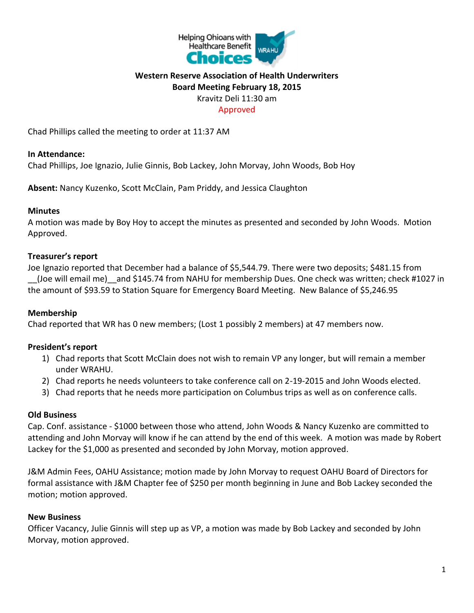

# **Western Reserve Association of Health Underwriters Board Meeting February 18, 2015** Kravitz Deli 11:30 am

#### Approved

Chad Phillips called the meeting to order at 11:37 AM

#### **In Attendance:**

Chad Phillips, Joe Ignazio, Julie Ginnis, Bob Lackey, John Morvay, John Woods, Bob Hoy

**Absent:** Nancy Kuzenko, Scott McClain, Pam Priddy, and Jessica Claughton

### **Minutes**

A motion was made by Boy Hoy to accept the minutes as presented and seconded by John Woods. Motion Approved.

### **Treasurer's report**

Joe Ignazio reported that December had a balance of \$5,544.79. There were two deposits; \$481.15 from \_\_(Joe will email me)\_\_and \$145.74 from NAHU for membership Dues. One check was written; check #1027 in the amount of \$93.59 to Station Square for Emergency Board Meeting. New Balance of \$5,246.95

## **Membership**

Chad reported that WR has 0 new members; (Lost 1 possibly 2 members) at 47 members now.

## **President's report**

- 1) Chad reports that Scott McClain does not wish to remain VP any longer, but will remain a member under WRAHU.
- 2) Chad reports he needs volunteers to take conference call on 2-19-2015 and John Woods elected.
- 3) Chad reports that he needs more participation on Columbus trips as well as on conference calls.

#### **Old Business**

Cap. Conf. assistance - \$1000 between those who attend, John Woods & Nancy Kuzenko are committed to attending and John Morvay will know if he can attend by the end of this week. A motion was made by Robert Lackey for the \$1,000 as presented and seconded by John Morvay, motion approved.

J&M Admin Fees, OAHU Assistance; motion made by John Morvay to request OAHU Board of Directors for formal assistance with J&M Chapter fee of \$250 per month beginning in June and Bob Lackey seconded the motion; motion approved.

#### **New Business**

Officer Vacancy, Julie Ginnis will step up as VP, a motion was made by Bob Lackey and seconded by John Morvay, motion approved.